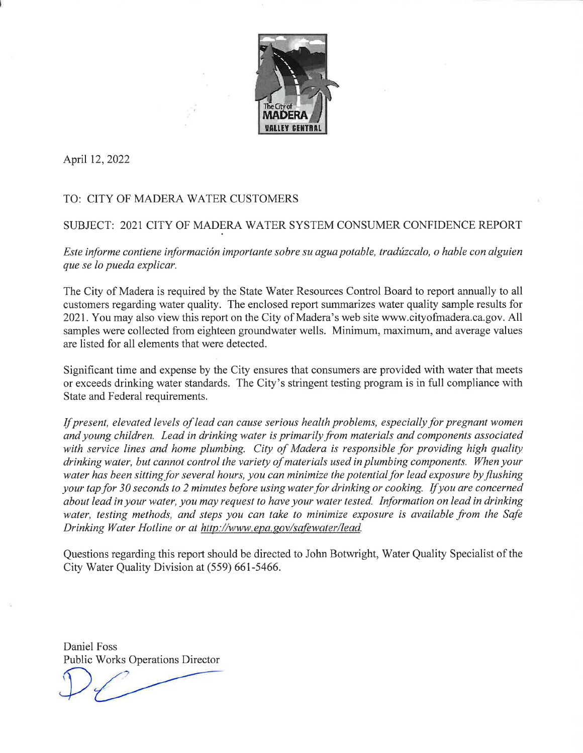

April 12, 2022

# TO: CITY OF MADERA WATER CUSTOMERS

# SUBJECT: 2021 CITY OF MADERA WATER SYSTEM CONSUMER CONFIDENCE REPORT

Este informe contiene información importante sobre su agua potable, tradúzcalo, o hable con alguien que se lo pueda explicar.

The City of Madera is required by the State Water Resources Control Board to report annually to all customers regarding water quality. The enclosed report summarizes water quality sample results for 2021. You may also view this report on the City of Madera's web site www.cityofmadera.ca.gov. All samples were collected from eighteen groundwater wells. Minimum, maximum, and average values are listed for all elements that were detected.

Significant time and expense by the City ensures that consumers are provided with water that meets or exceeds drinking water standards. The City's stringent testing program is in full compliance with State and Federal requirements.

If present, elevated levels of lead can cause serious health problems, especially for pregnant women and young children. Lead in drinking water is primarily from materials and components associated with service lines and home plumbing. City of Madera is responsible for providing high quality drinking water, but cannot control the variety of materials used in plumbing components. When your water has been sitting for several hours, you can minimize the potential for lead exposure by flushing your tap for 30 seconds to 2 minutes before using water for drinking or cooking. If you are concerned about lead in your water, you may request to have your water tested. Information on lead in drinking water, testing methods, and steps you can take to minimize exposure is available from the Safe Drinking Water Hotline or at http://www.epa.gov/safewater/lead.

Questions regarding this report should be directed to John Botwright, Water Quality Specialist of the City Water Quality Division at (559) 661-5466.

Daniel Foss Public Works Operations Director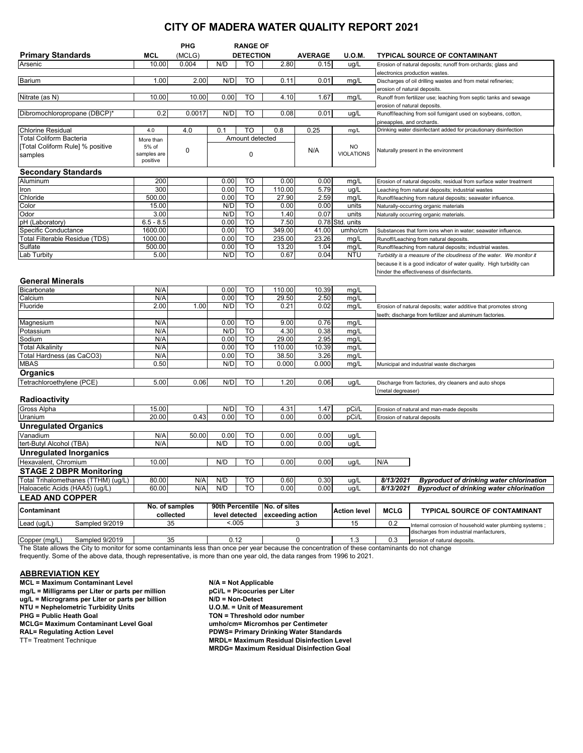# **CITY OF MADERA WATER QUALITY REPORT 2021**

|                                     |                      | PHG                         | <b>RANGE OF</b> |                                                     |                  |              |                                      |                                                                   |                                                                                                     |  |
|-------------------------------------|----------------------|-----------------------------|-----------------|-----------------------------------------------------|------------------|--------------|--------------------------------------|-------------------------------------------------------------------|-----------------------------------------------------------------------------------------------------|--|
| <b>Primary Standards</b>            | MCL                  | (MCLG)                      |                 | <b>DETECTION</b><br><b>AVERAGE</b><br><b>U.O.M.</b> |                  |              | <b>TYPICAL SOURCE OF CONTAMINANT</b> |                                                                   |                                                                                                     |  |
| Arsenic                             | 10.00                | 0.004                       | N/D             | то                                                  | 2.80             | 0.15         | ug/L                                 |                                                                   | Erosion of natural deposits; runoff from orchards; glass and                                        |  |
|                                     |                      |                             |                 |                                                     |                  |              |                                      | electronics production wastes.                                    |                                                                                                     |  |
| Barium                              | 1.00                 | 2.00                        | N/D             | TO                                                  | 0.11             | 0.01         | mg/L                                 | Discharges of oil drilling wastes and from metal refineries;      |                                                                                                     |  |
|                                     |                      |                             |                 |                                                     |                  |              |                                      | erosion of natural deposits.                                      |                                                                                                     |  |
| Nitrate (as N)                      | 10.00                | 10.00                       | 0.00            | TO                                                  | 4.10             | 1.67         | mg/L                                 | Runoff from fertilizer use; leaching from septic tanks and sewage |                                                                                                     |  |
|                                     |                      |                             |                 |                                                     |                  |              |                                      | erosion of natural deposits.                                      |                                                                                                     |  |
| Dibromochloropropane (DBCP)*        | 0.2                  | 0.0017                      | N/D             | TO                                                  | 0.08             | 0.01         | ug/L                                 | Runoff/leaching from soil fumigant used on soybeans, cotton,      |                                                                                                     |  |
|                                     |                      |                             |                 |                                                     |                  |              |                                      | pineapples, and orchards.                                         |                                                                                                     |  |
| <b>Chlorine Residual</b>            | 4.0                  | 4.0                         | 0.1             | TO                                                  | 0.8              | 0.25         | mg/L                                 | Drinking water disinfectant added for prcautionary disinfection   |                                                                                                     |  |
| <b>Total Coliform Bacteria</b>      | More than            |                             |                 | Amount detected                                     |                  |              |                                      |                                                                   |                                                                                                     |  |
| [Total Coliform Rule] % positive    | 5% of<br>samples are | 0                           |                 |                                                     |                  | N/A          | NO<br><b>VIOLATIONS</b>              |                                                                   | Naturally present in the environment                                                                |  |
| samples                             | positive             |                             |                 | $\mathbf 0$                                         |                  |              |                                      |                                                                   |                                                                                                     |  |
|                                     |                      |                             |                 |                                                     |                  |              |                                      |                                                                   |                                                                                                     |  |
| <b>Secondary Standards</b>          |                      |                             |                 |                                                     |                  |              |                                      |                                                                   |                                                                                                     |  |
| Aluminum                            | 200<br>300           |                             | 0.00<br>0.00    | TO<br>TO                                            | 0.00             | 0.00         | mg/L                                 |                                                                   | Erosion of natural deposits; residual from surface water treatment                                  |  |
| Iron<br>Chloride                    | 500.00               |                             | 0.00            | TO                                                  | 110.00<br>27.90  | 5.79<br>2.59 | ug/L                                 |                                                                   | Leaching from natural deposits; industrial wastes                                                   |  |
| Color                               | 15.00                |                             | N/D             | <b>TO</b>                                           | 0.00             | 0.00         | mg/L<br>units                        |                                                                   | Runoff/leaching from natural deposits; seawater influence.<br>Naturally-occurring organic materials |  |
| Odor                                | 3.00                 |                             | N/D             | TO                                                  | 1.40             | 0.07         | units                                |                                                                   | Naturally occurring organic materials                                                               |  |
| pH (Laboratory)                     | $6.5 - 8.5$          |                             | 0.00            | TO                                                  | 7.50             |              | 0.78 Std. units                      |                                                                   |                                                                                                     |  |
| Specific Conductance                | 1600.00              |                             | 0.00            | TO                                                  | 349.00           | 41.00        | umho/cm                              |                                                                   | Substances that form ions when in water; seawater influence.                                        |  |
| Total Filterable Residue (TDS)      | 1000.00              |                             | 0.00            | TO                                                  | 235.00           | 23.26        | mg/L                                 |                                                                   | Runoff/Leaching from natural deposits                                                               |  |
| Sulfate                             | 500.00               |                             | 0.00            | TO                                                  | 13.20            | 1.04         | mg/L                                 |                                                                   | Runoff/leaching from natural deposits; industrial wastes                                            |  |
| Lab Turbity                         | 5.00                 |                             | N/D             | TO                                                  | 0.67             | 0.04         | <b>NTU</b>                           |                                                                   | Turbidity is a measure of the cloudiness of the water. We monitor it                                |  |
|                                     |                      |                             |                 |                                                     |                  |              |                                      |                                                                   | because it is a good indicator of water quality. High turbidity can                                 |  |
|                                     |                      |                             |                 |                                                     |                  |              |                                      |                                                                   | hinder the effectiveness of disinfectants.                                                          |  |
| <b>General Minerals</b>             |                      |                             |                 |                                                     |                  |              |                                      |                                                                   |                                                                                                     |  |
| Bicarbonate                         | N/A                  |                             | 0.00            | то                                                  | 110.00           | 10.39        | mg/L                                 |                                                                   |                                                                                                     |  |
| Calcium                             | N/A                  |                             | 0.00            | <b>TO</b>                                           | 29.50            | 2.50         | mg/L                                 |                                                                   |                                                                                                     |  |
| Fluoride                            | 2.00                 | 1.00                        | N/D             | TO                                                  | 0.21             | 0.02         | mg/L                                 |                                                                   | Erosion of natural deposits; water additive that promotes strong                                    |  |
|                                     |                      |                             |                 |                                                     |                  |              |                                      | teeth; discharge from fertilizer and aluminum factories.          |                                                                                                     |  |
| Magnesium                           | N/A                  |                             | 0.00            | то                                                  | 9.00             | 0.76         | mg/L                                 |                                                                   |                                                                                                     |  |
| Potassium                           | N/A                  |                             | N/D             | TO                                                  | 4.30             | 0.38         | mg/L                                 |                                                                   |                                                                                                     |  |
| Sodium                              | N/A                  |                             | 0.00            | TO                                                  | 29.00            | 2.95         | mg/L                                 |                                                                   |                                                                                                     |  |
| <b>Total Alkalinity</b>             | N/A                  |                             | 0.00            | TO                                                  | 110.00           | 10.39        | mg/L                                 |                                                                   |                                                                                                     |  |
| Total Hardness (as CaCO3)           | N/A                  |                             | 0.00            | TO                                                  | 38.50            | 3.26         | mg/L                                 |                                                                   |                                                                                                     |  |
| <b>MBAS</b>                         | 0.50                 |                             | N/D             | TO                                                  | 0.000            | 0.000        | mg/L                                 |                                                                   | Municipal and industrial waste discharges                                                           |  |
| <b>Organics</b>                     |                      |                             |                 |                                                     |                  |              |                                      |                                                                   |                                                                                                     |  |
| Tetrachloroethylene (PCE)           | 5.00                 | 0.06                        | N/D             | <b>TO</b>                                           | 1.20             | 0.06         | ug/L                                 |                                                                   | Discharge from factories, dry cleaners and auto shops                                               |  |
|                                     |                      |                             |                 |                                                     |                  |              |                                      | (metal degreaser)                                                 |                                                                                                     |  |
| <b>Radioactivity</b>                |                      |                             |                 |                                                     |                  |              |                                      |                                                                   |                                                                                                     |  |
| Gross Alpha                         | 15.00                |                             | N/D             | то                                                  | 4.31             | 1.47         | pCi/L                                |                                                                   | Erosion of natural and man-made deposits                                                            |  |
| Uranium                             | 20.00                | 0.43                        | 0.00            | <b>TO</b>                                           | 0.00             | 0.00         | pCi/L                                |                                                                   | Erosion of natural deposits                                                                         |  |
| <b>Unregulated Organics</b>         |                      |                             |                 |                                                     |                  |              |                                      |                                                                   |                                                                                                     |  |
| Vanadium                            | N/A                  | 50.00                       | 0.00            | TO                                                  | 0.00             | 0.00         | ug/L                                 |                                                                   |                                                                                                     |  |
| tert-Butyl Alcohol (TBA)            | N/A                  |                             | N/D             | TO                                                  | 0.00             | 0.00         | ug/L                                 |                                                                   |                                                                                                     |  |
| <b>Unregulated Inorganics</b>       |                      |                             |                 |                                                     |                  |              |                                      |                                                                   |                                                                                                     |  |
| Hexavalent, Chromium                | 10.00                |                             | N/D             | TO                                                  | 0.00             | 0.00         | ug/L                                 | N/A                                                               |                                                                                                     |  |
| <b>STAGE 2 DBPR Monitoring</b>      |                      |                             |                 |                                                     |                  |              |                                      |                                                                   |                                                                                                     |  |
| Total Trihalomethanes (TTHM) (ug/L) | 80.00                | N/A                         | N/D             | TO                                                  | 0.60             | 0.30         | ug/L                                 | 8/13/2021                                                         | <b>Byproduct of drinking water chlorination</b>                                                     |  |
| Haloacetic Acids (HAA5) (uq/L)      | 60.00                | N/A                         | N/D             | $\overline{10}$                                     | 0.00             | 0.00         | ug/L                                 | 8/13/2021                                                         | <b>Byproduct of drinking water chlorination</b>                                                     |  |
| <b>LEAD AND COPPER</b>              |                      |                             |                 |                                                     |                  |              |                                      |                                                                   |                                                                                                     |  |
| Contaminant                         |                      | No. of samples              | 90th Percentile |                                                     | No. of sites     |              | <b>Action level</b>                  | <b>MCLG</b>                                                       | <b>TYPICAL SOURCE OF CONTAMINANT</b>                                                                |  |
|                                     |                      | collected<br>level detected |                 |                                                     | exceeding action |              |                                      |                                                                   |                                                                                                     |  |
| Lead (ug/L)<br>Sampled 9/2019       |                      | 35                          | < .005          |                                                     |                  | 3            | 15                                   | 0.2                                                               | Internal corrosion of household water plumbing systems;                                             |  |
|                                     |                      |                             |                 |                                                     |                  |              |                                      |                                                                   | discharges from industrial manfacturers,                                                            |  |
| Copper (mg/L)<br>Sampled 9/2019     | 35                   |                             | 0.12            |                                                     |                  | $\pmb{0}$    | 1.3                                  | 0.3                                                               | erosion of natural deposits.                                                                        |  |

The State allows the City to monitor for some contaminants less than once per year because the concentration of these contaminants do not change

frequently. Some of the above data, though representative, is more than one year old, the data ranges from 1996 to 2021.

### **ABBREVIATION KEY**

**MCL = Maximum Contaminant Level N/A = Not Applicable**<br>mg/L = Milligrams per Liter or parts per million pCi/L = Picocuries per Liter **mg/L = Milligrams per Liter or parts per million pCi/L = Picocuries per Liter** or parts per million **pCi/L = Picocuries ug/L = Micrograms per Liter or parts per billion N/D = Non-Detect**<br>NTU = Nephelometric Turbidity Units U.O.M. = Unit of Measurement **NTU = Nephelometric Turbidity Units<br>
PHG = Public Heath Goal MCLG= Maximum Contaminant Level Goal<br>RAL= Regulating Action Level RAL= Regulating Action Level PDWS= Primary Drinking Water Standards**

**TON = Threshold odor number<br>umho/cm= Micromhos per Centimeter MRDL= Maximum Residual Disinfection Level MRDG= Maximum Residual Disinfection Goal**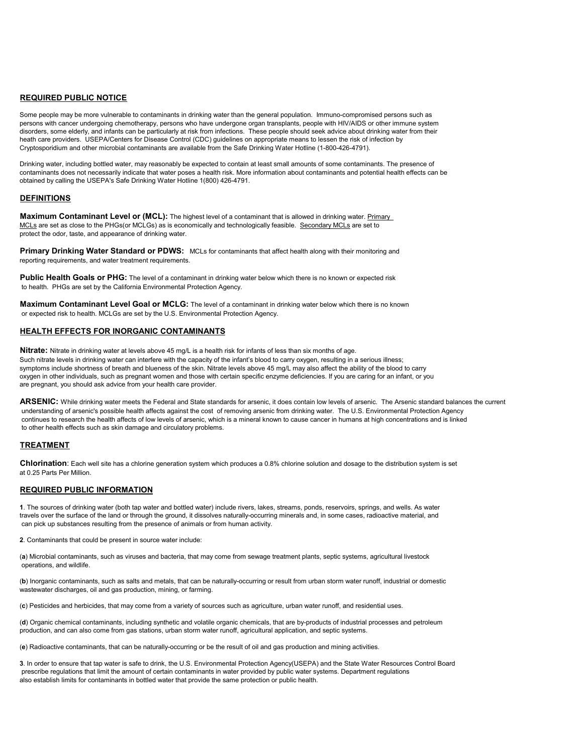#### **REQUIRED PUBLIC NOTICE**

Some people may be more vulnerable to contaminants in drinking water than the general population. Immuno-compromised persons such as persons with cancer undergoing chemotherapy, persons who have undergone organ transplants, people with HIV/AIDS or other immune system disorders, some elderly, and infants can be particularly at risk from infections. These people should seek advice about drinking water from their heath care providers. USEPA/Centers for Disease Control (CDC) guidelines on appropriate means to lessen the risk of infection by Cryptosporidium and other microbial contaminants are available from the Safe Drinking Water Hotline (1-800-426-4791).

Drinking water, including bottled water, may reasonably be expected to contain at least small amounts of some contaminants. The presence of contaminants does not necessarily indicate that water poses a health risk. More information about contaminants and potential health effects can be obtained by calling the USEPA's Safe Drinking Water Hotline 1(800) 426-4791.

#### **DEFINITIONS**

**Maximum Contaminant Level or (MCL):** The highest level of a contaminant that is allowed in drinking water. Primary MCLs are set as close to the PHGs(or MCLGs) as is economically and technologically feasible. Secondary MCLs are set to protect the odor, taste, and appearance of drinking water.

**Primary Drinking Water Standard or PDWS:** MCLs for contaminants that affect health along with their monitoring and reporting requirements, and water treatment requirements.

**Public Health Goals or PHG:** The level of a contaminant in drinking water below which there is no known or expected risk to health. PHGs are set by the California Environmental Protection Agency.

**Maximum Contaminant Level Goal or MCLG:** The level of a contaminant in drinking water below which there is no known or expected risk to health. MCLGs are set by the U.S. Environmental Protection Agency.

#### **HEALTH EFFECTS FOR INORGANIC CONTAMINANTS**

**Nitrate:** Nitrate in drinking water at levels above 45 mg/L is a health risk for infants of less than six months of age. Such nitrate levels in drinking water can interfere with the capacity of the infant's blood to carry oxygen, resulting in a serious illness; symptoms include shortness of breath and blueness of the skin. Nitrate levels above 45 mg/L may also affect the ability of the blood to carry oxygen in other individuals, such as pregnant women and those with certain specific enzyme deficiencies. If you are caring for an infant, or you are pregnant, you should ask advice from your health care provider.

**ARSENIC:** While drinking water meets the Federal and State standards for arsenic, it does contain low levels of arsenic. The Arsenic standard balances the current understanding of arsenic's possible health affects against the cost of removing arsenic from drinking water. The U.S. Environmental Protection Agency continues to research the health affects of low levels of arsenic, which is a mineral known to cause cancer in humans at high concentrations and is linked to other health effects such as skin damage and circulatory problems.

### **TREATMENT**

**Chlorination**: Each well site has a chlorine generation system which produces a 0.8% chlorine solution and dosage to the distribution system is set at 0.25 Parts Per Million.

#### **REQUIRED PUBLIC INFORMATION**

**1**. The sources of drinking water (both tap water and bottled water) include rivers, lakes, streams, ponds, reservoirs, springs, and wells. As water travels over the surface of the land or through the ground, it dissolves naturally-occurring minerals and, in some cases, radioactive material, and can pick up substances resulting from the presence of animals or from human activity.

**2**. Contaminants that could be present in source water include:

(**a**) Microbial contaminants, such as viruses and bacteria, that may come from sewage treatment plants, septic systems, agricultural livestock operations, and wildlife.

(**b**) Inorganic contaminants, such as salts and metals, that can be naturally-occurring or result from urban storm water runoff, industrial or domestic wastewater discharges, oil and gas production, mining, or farming.

(**c**) Pesticides and herbicides, that may come from a variety of sources such as agriculture, urban water runoff, and residential uses.

(**d**) Organic chemical contaminants, including synthetic and volatile organic chemicals, that are by-products of industrial processes and petroleum production, and can also come from gas stations, urban storm water runoff, agricultural application, and septic systems.

(**e**) Radioactive contaminants, that can be naturally-occurring or be the result of oil and gas production and mining activities.

**3**. In order to ensure that tap water is safe to drink, the U.S. Environmental Protection Agency(USEPA) and the State Water Resources Control Board prescribe regulations that limit the amount of certain contaminants in water provided by public water systems. Department regulations also establish limits for contaminants in bottled water that provide the same protection or public health.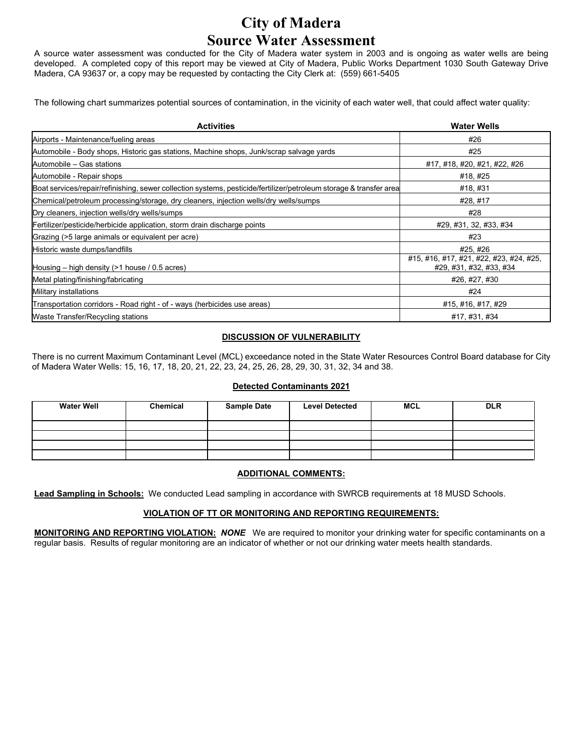# **City of Madera Source Water Assessment**

A source water assessment was conducted for the City of Madera water system in 2003 and is ongoing as water wells are being developed. A completed copy of this report may be viewed at City of Madera, Public Works Department 1030 South Gateway Drive Madera, CA 93637 or, a copy may be requested by contacting the City Clerk at: (559) 661-5405

The following chart summarizes potential sources of contamination, in the vicinity of each water well, that could affect water quality:

| <b>Activities</b>                                                                                                  | <b>Water Wells</b>                                                 |  |  |
|--------------------------------------------------------------------------------------------------------------------|--------------------------------------------------------------------|--|--|
| Airports - Maintenance/fueling areas                                                                               | #26                                                                |  |  |
| Automobile - Body shops, Historic gas stations, Machine shops, Junk/scrap salvage yards                            | #25                                                                |  |  |
| Automobile - Gas stations                                                                                          | #17, #18, #20, #21, #22, #26                                       |  |  |
| Automobile - Repair shops                                                                                          | #18,#25                                                            |  |  |
| Boat services/repair/refinishing, sewer collection systems, pesticide/fertilizer/petroleum storage & transfer area | #18,#31                                                            |  |  |
| Chemical/petroleum processing/storage, dry cleaners, injection wells/dry wells/sumps                               | #28, #17                                                           |  |  |
| Dry cleaners, injection wells/dry wells/sumps                                                                      | #28                                                                |  |  |
| Fertilizer/pesticide/herbicide application, storm drain discharge points                                           | #29, #31, 32, #33, #34                                             |  |  |
| Grazing (>5 large animals or equivalent per acre)                                                                  | #23                                                                |  |  |
| Historic waste dumps/landfills                                                                                     | #25,#26                                                            |  |  |
| Housing $-$ high density ( $>1$ house / 0.5 acres)                                                                 | #15, #16, #17, #21, #22, #23, #24, #25,<br>#29, #31, #32, #33, #34 |  |  |
| Metal plating/finishing/fabricating                                                                                | #26, #27, #30                                                      |  |  |
| Military installations                                                                                             | #24                                                                |  |  |
| Transportation corridors - Road right - of - ways (herbicides use areas)                                           | #15, #16, #17, #29                                                 |  |  |
| Waste Transfer/Recycling stations                                                                                  | #17, #31, #34                                                      |  |  |

### **DISCUSSION OF VULNERABILITY**

There is no current Maximum Contaminant Level (MCL) exceedance noted in the State Water Resources Control Board database for City of Madera Water Wells: 15, 16, 17, 18, 20, 21, 22, 23, 24, 25, 26, 28, 29, 30, 31, 32, 34 and 38.

### **Detected Contaminants 2021**

| <b>Water Well</b> | Chemical | <b>Sample Date</b> | <b>Level Detected</b> | <b>MCL</b> | <b>DLR</b> |
|-------------------|----------|--------------------|-----------------------|------------|------------|
|                   |          |                    |                       |            |            |
|                   |          |                    |                       |            |            |
|                   |          |                    |                       |            |            |
|                   |          |                    |                       |            |            |

### **ADDITIONAL COMMENTS:**

**Lead Sampling in Schools:** We conducted Lead sampling in accordance with SWRCB requirements at 18 MUSD Schools.

### **VIOLATION OF TT OR MONITORING AND REPORTING REQUIREMENTS:**

**MONITORING AND REPORTING VIOLATION:** *NONE* We are required to monitor your drinking water for specific contaminants on a regular basis. Results of regular monitoring are an indicator of whether or not our drinking water meets health standards.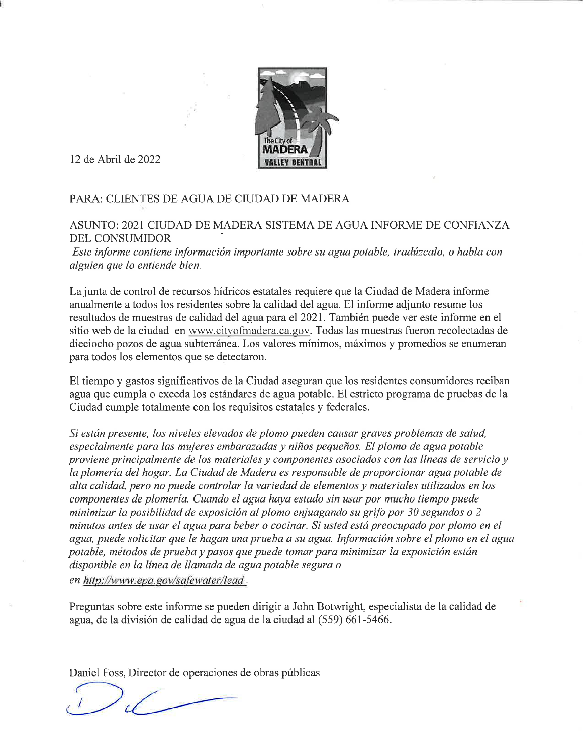

12 de Abril de 2022

# PARA: CLIENTES DE AGUA DE CIUDAD DE MADERA

# ASUNTO: 2021 CIUDAD DE MADERA SISTEMA DE AGUA INFORME DE CONFIANZA **DEL CONSUMIDOR**

Este informe contiene información importante sobre su agua potable, tradúzcalo, o habla con alguien que lo entiende bien.

La junta de control de recursos hídricos estatales requiere que la Ciudad de Madera informe anualmente a todos los residentes sobre la calidad del agua. El informe adjunto resume los resultados de muestras de calidad del agua para el 2021. También puede ver este informe en el sitio web de la ciudad en www.cityofmadera.ca.gov. Todas las muestras fueron recolectadas de dieciocho pozos de agua subterránea. Los valores mínimos, máximos y promedios se enumeran para todos los elementos que se detectaron.

El tiempo y gastos significativos de la Ciudad aseguran que los residentes consumidores reciban agua que cumpla o exceda los estándares de agua potable. El estricto programa de pruebas de la Ciudad cumple totalmente con los requisitos estatales y federales.

Si están presente, los niveles elevados de plomo pueden causar graves problemas de salud, especialmente para las mujeres embarazadas y niños pequeños. El plomo de agua potable proviene principalmente de los materiales y componentes asociados con las líneas de servicio y la plomería del hogar. La Ciudad de Madera es responsable de proporcionar agua potable de alta calidad, pero no puede controlar la variedad de elementos y materiales utilizados en los componentes de plomería. Cuando el agua haya estado sin usar por mucho tiempo puede minimizar la posibilidad de exposición al plomo enjuagando su grifo por 30 segundos o 2 minutos antes de usar el agua para beber o cocinar. Si usted está preocupado por plomo en el agua, puede solicitar que le hagan una prueba a su agua. Información sobre el plomo en el agua potable, métodos de prueba y pasos que puede tomar para minimizar la exposición están disponible en la línea de llamada de agua potable segura o en http://www.epa.gov/safewater/lead.

Preguntas sobre este informe se pueden dirigir a John Botwright, especialista de la calidad de agua, de la división de calidad de agua de la ciudad al (559) 661-5466.

Daniel Foss, Director de operaciones de obras públicas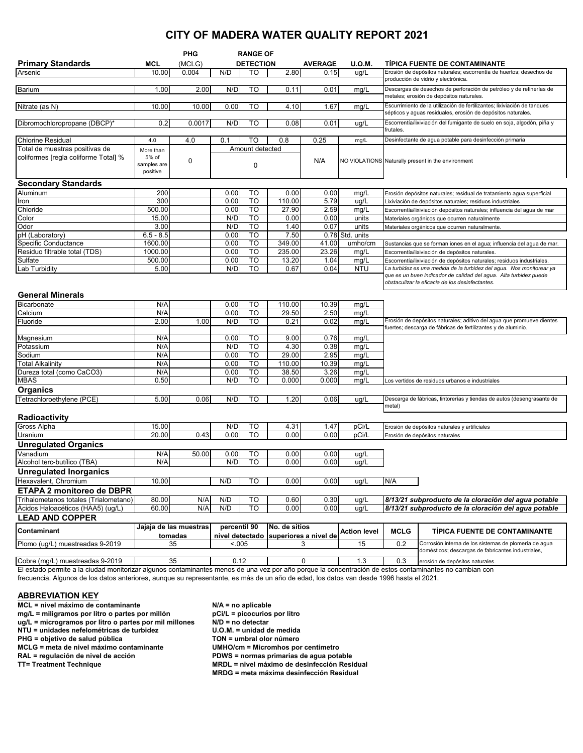# **CITY OF MADERA WATER QUALITY REPORT 2021**

|                                                                                                                                                        |                         | <b>PHG</b>             | <b>RANGE OF</b> |                                                     |                                       |       |                                      |                                                                                                                                          |                                                                                                                                           |  |
|--------------------------------------------------------------------------------------------------------------------------------------------------------|-------------------------|------------------------|-----------------|-----------------------------------------------------|---------------------------------------|-------|--------------------------------------|------------------------------------------------------------------------------------------------------------------------------------------|-------------------------------------------------------------------------------------------------------------------------------------------|--|
| <b>Primary Standards</b>                                                                                                                               | MCL                     | (MCLG)                 |                 | <b>DETECTION</b><br><b>AVERAGE</b><br><b>U.O.M.</b> |                                       |       | <b>TIPICA FUENTE DE CONTAMINANTE</b> |                                                                                                                                          |                                                                                                                                           |  |
| Arsenic                                                                                                                                                | 10.00                   | 0.004                  | N/D             | TO                                                  | 2.80                                  | 0.15  | ug/L                                 |                                                                                                                                          | Erosión de depósitos naturales; escorrentía de huertos; desechos de<br>producción de vidrio y electrónica.                                |  |
| Barium                                                                                                                                                 | 1.00                    | 2.00                   | N/D             | TO                                                  | 0.11                                  | 0.01  | mg/L                                 | Descargas de desechos de perforación de petróleo y de refinerías de<br>metales; erosión de depósitos naturales.                          |                                                                                                                                           |  |
| Nitrate (as N)                                                                                                                                         | 10.00                   | 10.00                  | 0.00            | TO                                                  | 4.10                                  | 1.67  | mg/L                                 | Escurrimiento de la utilización de fertilizantes; lixiviación de tanques<br>sépticos y aguas residuales, erosión de depósitos naturales. |                                                                                                                                           |  |
| Dibromochloropropane (DBCP)*                                                                                                                           | 0.2                     | 0.0017                 | N/D             | TO                                                  | 0.08                                  | 0.01  | ug/L                                 |                                                                                                                                          | Escorrentía/lixiviación del fumigante de suelo en soja, algodón, piña y                                                                   |  |
|                                                                                                                                                        |                         |                        |                 |                                                     |                                       |       |                                      | frutales.                                                                                                                                |                                                                                                                                           |  |
| <b>Chlorine Residual</b>                                                                                                                               | 4.0                     | 4.0                    | 0.1             | TO                                                  | 0.8                                   | 0.25  | mg/L                                 |                                                                                                                                          | Desinfectante de agua potable para desinfección primaria                                                                                  |  |
| Total de muestras positivas de                                                                                                                         | More than               |                        |                 | Amount detected                                     |                                       |       |                                      |                                                                                                                                          |                                                                                                                                           |  |
| coliformes [regla coliforme Total] %                                                                                                                   | 5% of                   | 0                      |                 |                                                     |                                       | N/A   |                                      |                                                                                                                                          | NO VIOLATIONS Naturally present in the environment                                                                                        |  |
|                                                                                                                                                        | samples are<br>positive |                        |                 | 0                                                   |                                       |       |                                      |                                                                                                                                          |                                                                                                                                           |  |
| <b>Secondary Standards</b>                                                                                                                             |                         |                        |                 |                                                     |                                       |       |                                      |                                                                                                                                          |                                                                                                                                           |  |
| Aluminum                                                                                                                                               | 200                     |                        | 0.00            | то                                                  | 0.00                                  | 0.00  | mg/L                                 |                                                                                                                                          | Erosión depósitos naturales; residual de tratamiento agua superficial                                                                     |  |
| Iron                                                                                                                                                   | 300                     |                        | 0.00            | TO                                                  | 110.00                                | 5.79  | ug/L                                 |                                                                                                                                          | Lixiviación de depósitos naturales; residuos industriales                                                                                 |  |
| Chloride                                                                                                                                               | 500.00                  |                        | 0.00            | TO                                                  | 27.90                                 | 2.59  | mg/L                                 |                                                                                                                                          | Escorrentía/lixiviación depósitos naturales; influencia del agua de mar                                                                   |  |
| Color                                                                                                                                                  | 15.00                   |                        | N/D             | TO                                                  | 0.00                                  | 0.00  | units                                |                                                                                                                                          | Materiales orgánicos que ocurren naturalmente                                                                                             |  |
| Odor                                                                                                                                                   | 3.00                    |                        | N/D             | TO                                                  | 1.40                                  | 0.07  | units                                |                                                                                                                                          | Materiales orgánicos que ocurren naturalmente.                                                                                            |  |
| pH (Laboratory)                                                                                                                                        | $6.5 - 8.5$             |                        | 0.00            | TO                                                  | 7.50                                  |       | 0.78 Std. units                      |                                                                                                                                          |                                                                                                                                           |  |
| <b>Specific Conductance</b>                                                                                                                            | 1600.00                 |                        | 0.00            | TO                                                  | 349.00                                | 41.00 | umho/cm                              |                                                                                                                                          | Sustancias que se forman iones en el agua; influencia del agua de mar.                                                                    |  |
| Residuo filtrable total (TDS)                                                                                                                          | 1000.00                 |                        | 0.00            | TO                                                  | 235.00                                | 23.26 | mq/L                                 |                                                                                                                                          | Escorrentía/lixiviación de depósitos naturales.                                                                                           |  |
| Sulfate                                                                                                                                                | 500.00                  |                        | 0.00            | TO                                                  | 13.20                                 | 1.04  | mg/L                                 |                                                                                                                                          | Escorrentía/lixiviación de depósitos naturales; residuos industriales.                                                                    |  |
| Lab Turbidity                                                                                                                                          | 5.00                    |                        | N/D             | TO                                                  | 0.67                                  | 0.04  | <b>NTU</b>                           |                                                                                                                                          | La turbidez es una medida de la turbidez del agua. Nos monitorear ya<br>que es un buen indicador de calidad del agua. Alta turbidez puede |  |
|                                                                                                                                                        |                         |                        |                 |                                                     |                                       |       |                                      |                                                                                                                                          | obstaculizar la eficacia de los desinfectantes.                                                                                           |  |
| <b>General Minerals</b>                                                                                                                                |                         |                        |                 |                                                     |                                       |       |                                      |                                                                                                                                          |                                                                                                                                           |  |
| <b>Bicarbonate</b>                                                                                                                                     | N/A                     |                        | 0.00            | TO                                                  | 110.00                                | 10.39 | mg/L                                 |                                                                                                                                          |                                                                                                                                           |  |
| Calcium                                                                                                                                                | N/A                     |                        | 0.00            | TO                                                  | 29.50                                 | 2.50  | mg/L                                 |                                                                                                                                          |                                                                                                                                           |  |
| Fluoride                                                                                                                                               | 2.00                    | 1.00                   | N/D             | то                                                  | 0.21                                  | 0.02  | mg/L                                 |                                                                                                                                          | Erosión de depósitos naturales; aditivo del agua que promueve dientes<br>fuertes; descarga de fábricas de fertilizantes y de aluminio.    |  |
| Magnesium                                                                                                                                              | N/A                     |                        | 0.00            | TO                                                  | 9.00                                  | 0.76  | mg/L                                 |                                                                                                                                          |                                                                                                                                           |  |
| Potassium                                                                                                                                              | N/A                     |                        | N/D             | TO                                                  | 4.30                                  | 0.38  | mg/L                                 |                                                                                                                                          |                                                                                                                                           |  |
| Sodium                                                                                                                                                 | N/A                     |                        | 0.00            | TO                                                  | 29.00                                 | 2.95  | mg/L                                 |                                                                                                                                          |                                                                                                                                           |  |
| <b>Total Alkalinity</b>                                                                                                                                | N/A                     |                        | 0.00            | TO                                                  | 110.00                                | 10.39 | mg/L                                 |                                                                                                                                          |                                                                                                                                           |  |
| Dureza total (como CaCO3)                                                                                                                              | N/A                     |                        | 0.00            | то                                                  | 38.50                                 | 3.26  | mg/L                                 |                                                                                                                                          |                                                                                                                                           |  |
| <b>MBAS</b>                                                                                                                                            | 0.50                    |                        | N/D             | TO                                                  | 0.000                                 | 0.000 | mg/L                                 |                                                                                                                                          | Los vertidos de residuos urbanos e industriales                                                                                           |  |
| <b>Organics</b>                                                                                                                                        |                         |                        |                 |                                                     |                                       |       |                                      |                                                                                                                                          |                                                                                                                                           |  |
| Tetrachloroethylene (PCE)                                                                                                                              | 5.00                    | 0.06                   | N/D             | TO                                                  | 1.20                                  | 0.06  | ug/L                                 | metal)                                                                                                                                   | Descarga de fábricas, tintorerías y tiendas de autos (desengrasante de                                                                    |  |
| Radioactivity                                                                                                                                          |                         |                        |                 |                                                     |                                       |       |                                      |                                                                                                                                          |                                                                                                                                           |  |
| Gross Alpha                                                                                                                                            | 15.00                   |                        | N/D             | TO                                                  | 4.31                                  | 1.47  | pCi/L                                |                                                                                                                                          | Erosión de depósitos naturales y artificiales                                                                                             |  |
| Uranium                                                                                                                                                | 20.00                   | 0.43                   | 0.00            | TO                                                  | 0.00                                  | 0.00  | pCi/L                                |                                                                                                                                          | Erosión de depósitos naturales                                                                                                            |  |
| <b>Unregulated Organics</b>                                                                                                                            |                         |                        |                 |                                                     |                                       |       |                                      |                                                                                                                                          |                                                                                                                                           |  |
| Vanadium                                                                                                                                               | N/A                     | 50.00                  | 0.00            | то                                                  | 0.00                                  | 0.00  | ug/L                                 |                                                                                                                                          |                                                                                                                                           |  |
| Alcohol terc-butílico (TBA)                                                                                                                            | N/A                     |                        | N/D             | <b>TO</b>                                           | 0.00                                  | 0.00  | ug/L                                 |                                                                                                                                          |                                                                                                                                           |  |
| Unregulated Inorganics                                                                                                                                 |                         |                        |                 |                                                     |                                       |       |                                      |                                                                                                                                          |                                                                                                                                           |  |
| Hexavalent, Chromium                                                                                                                                   | 10.00                   |                        | N/D             | то                                                  | 0.00                                  | 0.00  | ug/L                                 | N/A                                                                                                                                      |                                                                                                                                           |  |
| <b>ETAPA 2 monitoreo de DBPR</b>                                                                                                                       |                         |                        |                 |                                                     |                                       |       |                                      |                                                                                                                                          |                                                                                                                                           |  |
| Trihalometanos totales (Trialometano)                                                                                                                  | 80.00                   | N/A                    | N/D             | TO                                                  | 0.60                                  | 0.30  | ug/L                                 |                                                                                                                                          | 8/13/21 subproducto de la cloración del agua potable                                                                                      |  |
| Ácidos Haloacéticos (HAA5) (ug/L)                                                                                                                      | 60.00                   | N/A                    | N/D             | <b>TO</b>                                           | 0.00                                  | 0.00  | ug/L                                 |                                                                                                                                          | 8/13/21 subproducto de la cloración del aqua potable                                                                                      |  |
| <b>LEAD AND COPPER</b>                                                                                                                                 |                         |                        |                 |                                                     |                                       |       |                                      |                                                                                                                                          |                                                                                                                                           |  |
| Contaminant                                                                                                                                            |                         | Jajaja de las muestras | percentil 90    |                                                     | No. de sitios                         |       | <b>Action level</b>                  | <b>MCLG</b>                                                                                                                              | TIPICA FUENTE DE CONTAMINANTE                                                                                                             |  |
|                                                                                                                                                        |                         | tomadas                |                 |                                                     | nivel detectado superiores a nivel de |       |                                      |                                                                                                                                          |                                                                                                                                           |  |
| Plomo (ug/L) muestreadas 9-2019                                                                                                                        |                         | 35                     | < 0.005         |                                                     | 3                                     |       | 15                                   | 0.2                                                                                                                                      | Corrosión interna de los sistemas de plomería de agua<br>domésticos; descargas de fabricantes industriales,                               |  |
| Cobre (mg/L) muestreadas 9-2019                                                                                                                        |                         | 35                     | 0.12            |                                                     | 0                                     |       | 1.3                                  | 0.3                                                                                                                                      | erosión de depósitos naturales.                                                                                                           |  |
| El estado permite a la ciudad monitorizar algunos contaminantes menos de una vez por año porque la concentración de estos contaminantes no cambian con |                         |                        |                 |                                                     |                                       |       |                                      |                                                                                                                                          |                                                                                                                                           |  |

El estado permite a la ciudad monitorizar algunos contaminantes menos de una vez por año porque la concentración de estos contaminantes no cambian con frecuencia. Algunos de los datos anteriores, aunque su representante, es más de un año de edad, los datos van desde 1996 hasta el 2021.

### **ABBREVIATION KEY**

**MCL = nivel máximo de contaminante N/A = no aplicable mg/L = miligramos por litro o partes por millón** pCi/L = picocurios por litro o partes por mil millones N/D = no detectar

- 
- 

**MCLG = meta de nivel máximo contaminante<br>RAL = regulación de nivel de acción** 

**ug/L = microgramos por litro o partes por mil millones N/D = no detectar NTU = unidades nefelométricas de turbidez U.O.M. = unidad de medida PHG = objetivo de salud pública TON = umbral olor número RAL = regulación de nivel de acción PDWS = normas primarias de agua potable MRDL = nivel máximo de desinfección Residual MRDG = meta máxima desinfección Residual**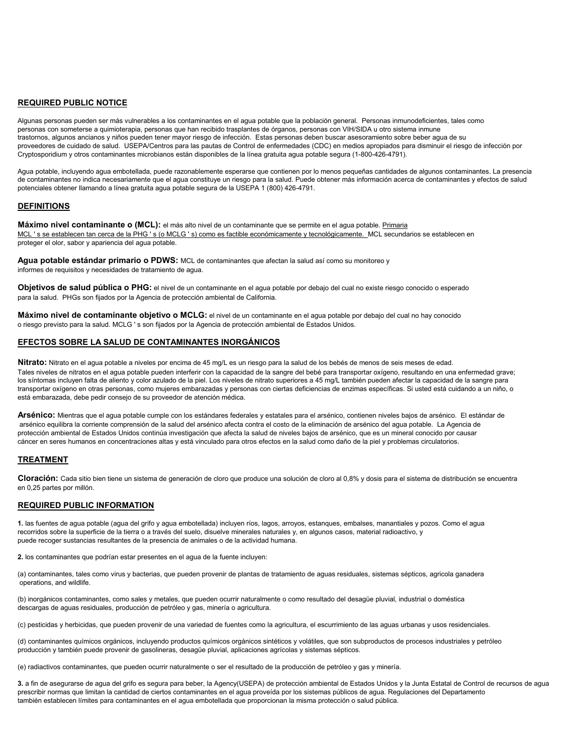#### **REQUIRED PUBLIC NOTICE**

Algunas personas pueden ser más vulnerables a los contaminantes en el agua potable que la población general. Personas inmunodeficientes, tales como personas con someterse a quimioterapia, personas que han recibido trasplantes de órganos, personas con VIH/SIDA u otro sistema inmune trastornos, algunos ancianos y niños pueden tener mayor riesgo de infección. Estas personas deben buscar asesoramiento sobre beber agua de su proveedores de cuidado de salud. USEPA/Centros para las pautas de Control de enfermedades (CDC) en medios apropiados para disminuir el riesgo de infección por Cryptosporidium y otros contaminantes microbianos están disponibles de la línea gratuita agua potable segura (1-800-426-4791).

Agua potable, incluyendo agua embotellada, puede razonablemente esperarse que contienen por lo menos pequeñas cantidades de algunos contaminantes. La presencia de contaminantes no indica necesariamente que el agua constituye un riesgo para la salud. Puede obtener más información acerca de contaminantes y efectos de salud potenciales obtener llamando a línea gratuita agua potable segura de la USEPA 1 (800) 426-4791.

#### **DEFINITIONS**

**Máximo nivel contaminante o (MCL):** el más alto nivel de un contaminante que se permite en el agua potable. Primaria MCL 's se establecen tan cerca de la PHG 's (o MCLG 's) como es factible económicamente y tecnológicamente. MCL secundarios se establecen en proteger el olor, sabor y apariencia del agua potable.

**Agua potable estándar primario o PDWS:** MCL de contaminantes que afectan la salud así como su monitoreo y informes de requisitos y necesidades de tratamiento de agua.

**Objetivos de salud pública o PHG:** el nivel de un contaminante en el agua potable por debajo del cual no existe riesgo conocido o esperado para la salud. PHGs son fijados por la Agencia de protección ambiental de California.

**Máximo nivel de contaminante objetivo o MCLG:** el nivel de un contaminante en el agua potable por debajo del cual no hay conocido o riesgo previsto para la salud. MCLG ' s son fijados por la Agencia de protección ambiental de Estados Unidos.

### **EFECTOS SOBRE LA SALUD DE CONTAMINANTES INORGÁNICOS**

**Nitrato:** Nitrato en el agua potable a niveles por encima de 45 mg/L es un riesgo para la salud de los bebés de menos de seis meses de edad. Tales niveles de nitratos en el agua potable pueden interferir con la capacidad de la sangre del bebé para transportar oxígeno, resultando en una enfermedad grave; los síntomas incluyen falta de aliento y color azulado de la piel. Los niveles de nitrato superiores a 45 mg/L también pueden afectar la capacidad de la sangre para transportar oxígeno en otras personas, como mujeres embarazadas y personas con ciertas deficiencias de enzimas específicas. Si usted está cuidando a un niño, o está embarazada, debe pedir consejo de su proveedor de atención médica.

**Arsénico:** Mientras que el agua potable cumple con los estándares federales y estatales para el arsénico, contienen niveles bajos de arsénico. El estándar de arsénico equilibra la corriente comprensión de la salud del arsénico afecta contra el costo de la eliminación de arsénico del agua potable. La Agencia de protección ambiental de Estados Unidos continúa investigación que afecta la salud de niveles bajos de arsénico, que es un mineral conocido por causar cáncer en seres humanos en concentraciones altas y está vinculado para otros efectos en la salud como daño de la piel y problemas circulatorios.

### **TREATMENT**

**Cloración:** Cada sitio bien tiene un sistema de generación de cloro que produce una solución de cloro al 0,8% y dosis para el sistema de distribución se encuentra en 0,25 partes por millón.

### **REQUIRED PUBLIC INFORMATION**

**1.** las fuentes de agua potable (agua del grifo y agua embotellada) incluyen ríos, lagos, arroyos, estanques, embalses, manantiales y pozos. Como el agua recorridos sobre la superficie de la tierra o a través del suelo, disuelve minerales naturales y, en algunos casos, material radioactivo, y puede recoger sustancias resultantes de la presencia de animales o de la actividad humana.

**2.** los contaminantes que podrían estar presentes en el agua de la fuente incluyen:

(a) contaminantes, tales como virus y bacterias, que pueden provenir de plantas de tratamiento de aguas residuales, sistemas sépticos, agricola ganadera operations, and wildlife.

(b) inorgánicos contaminantes, como sales y metales, que pueden ocurrir naturalmente o como resultado del desagüe pluvial, industrial o doméstica descargas de aguas residuales, producción de petróleo y gas, minería o agricultura.

(c) pesticidas y herbicidas, que pueden provenir de una variedad de fuentes como la agricultura, el escurrimiento de las aguas urbanas y usos residenciales.

(d) contaminantes químicos orgánicos, incluyendo productos químicos orgánicos sintéticos y volátiles, que son subproductos de procesos industriales y petróleo producción y también puede provenir de gasolineras, desagüe pluvial, aplicaciones agrícolas y sistemas sépticos.

(e) radiactivos contaminantes, que pueden ocurrir naturalmente o ser el resultado de la producción de petróleo y gas y minería.

**3.** a fin de asegurarse de agua del grifo es segura para beber, la Agency(USEPA) de protección ambiental de Estados Unidos y la Junta Estatal de Control de recursos de agua prescribir normas que limitan la cantidad de ciertos contaminantes en el agua proveída por los sistemas públicos de agua. Regulaciones del Departamento también establecen límites para contaminantes en el agua embotellada que proporcionan la misma protección o salud pública.